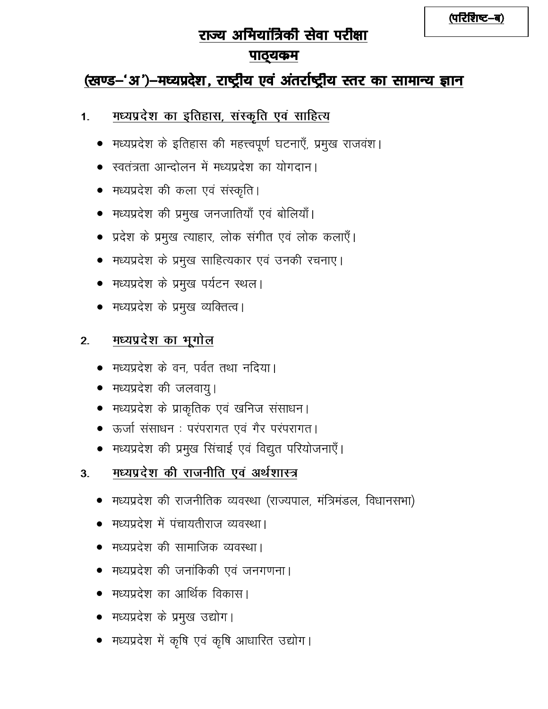# राज्य अभियांत्रिकी सेवा परीक्षा पाठ्यकम

# (खण्ड–'अ')–मध्यप्रदेश, राष्ट्रीय एवं अंतर्राष्ट्रीय स्तर का सामान्य ज्ञान

मध्यप्रदेश का इतिहास, संस्कृति एवं साहित्य  $1.$ 

- मध्यप्रदेश के इतिहास की महत्त्वपूर्ण घटनाएँ, प्रमुख राजवंश।
- स्वतंत्रता आन्दोलन में मध्यप्रदेश का योगदान।
- मध्यप्रदेश की कला एवं संस्कृति।
- मध्यप्रदेश की प्रमुख जनजातियाँ एवं बोलियाँ।
- प्रदेश के प्रमुख त्याहार, लोक संगीत एवं लोक कलाएँ।
- मध्यप्रदेश के प्रमुख साहित्यकार एवं उनकी रचनाए।
- मध्यप्रदेश के प्रमुख पर्यटन स्थल।
- मध्यप्रदेश के प्रमुख व्यक्तित्व ।

#### मध्यप्रदेश का भूगोल  $2.$

- मध्यप्रदेश के वन, पर्वत तथा नदिया।
- मध्यप्रदेश की जलवायु।
- मध्यप्रदेश के प्राकृतिक एवं खनिज संसाधन।
- ऊर्जा संसाधन ः परंपरागत एवं गैर परंपरागत।
- मध्यप्रदेश की प्रमुख सिंचाई एवं विद्युत परियोजनाएँ।
- मध्यप्रदेश की राजनीति एवं अर्थशास्त्र 3.
	- मध्यप्रदेश की राजनीतिक व्यवस्था (राज्यपाल, मंत्रिमंडल, विधानसभा)
	- मध्यप्रदेश में पंचायतीराज व्यवस्था।
	- मध्यप्रदेश की सामाजिक व्यवस्था।
	- मध्यप्रदेश की जनाकिकी एवं जनगणना।
	- मध्यप्रदेश का आर्थिक विकास।
	- मध्यप्रदेश के प्रमुख उद्योग।
	- मध्यप्रदेश में कृषि एवं कृषि आधारित उद्योग।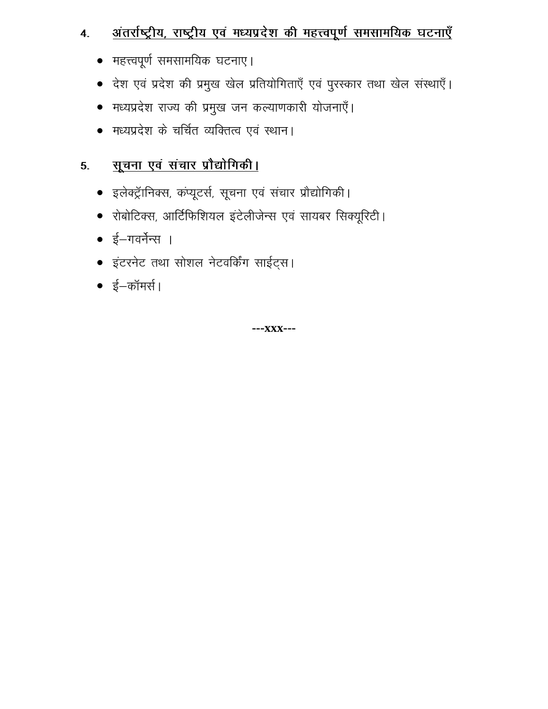#### अंतर्राष्ट्रीय, राष्ट्रीय एवं मध्यप्रदेश की महत्त्वपूर्ण समसामयिक घटनाएँ  $4.$

- महत्त्वपूर्ण समसामयिक घटनाए।
- देश एवं प्रदेश की प्रमुख खेल प्रतियोगिताएँ एवं पुरस्कार तथा खेल संस्थाएँ।
- मध्यप्रदेश राज्य की प्रमुख जन कल्याणकारी योजनाएँ।
- मध्यप्रदेश के चर्चित व्यक्तित्व एवं स्थान।

#### <u>सूचना एवं संचार प्रौद्योगिकी।</u> 5.

- इलेक्ट्रॅानिक्स, कंप्यूटर्स, सूचना एवं संचार प्रौद्योगिकी।
- रोबोटिक्स, आर्टिफिशियल इंटेलीजेन्स एवं सायबर सिक्यूरिटी।
- ई-गवर्नेन्स ।
- इंटरनेट तथा सोशल नेटवर्किंग साईट्स।
- ई–कॉमर्स।

---**XXX---**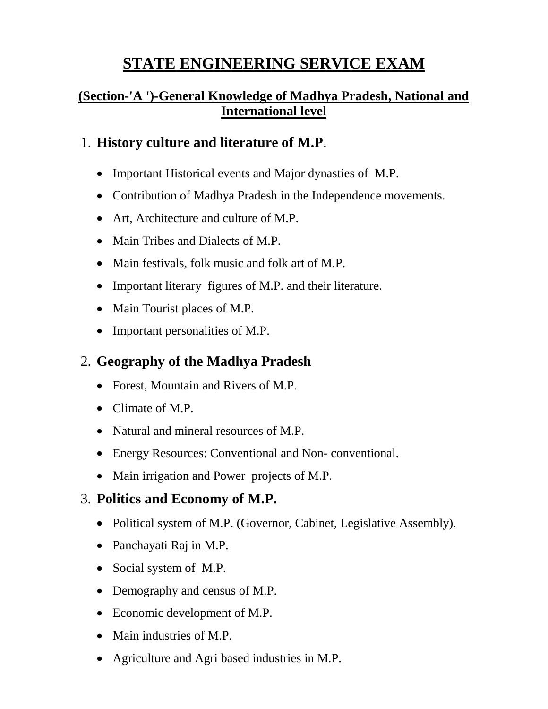# **STATE ENGINEERING SERVICE EXAM**

### **(Section-'A ')-General Knowledge of Madhya Pradesh, National and International level**

#### 1. **History culture and literature of M.P**.

- Important Historical events and Major dynasties of M.P.
- Contribution of Madhya Pradesh in the Independence movements.
- Art, Architecture and culture of M.P.
- Main Tribes and Dialects of M.P.
- Main festivals, folk music and folk art of M.P.
- Important literary figures of M.P. and their literature.
- Main Tourist places of M.P.
- Important personalities of M.P.

### 2. **Geography of the Madhya Pradesh**

- Forest, Mountain and Rivers of M.P.
- Climate of M.P.
- Natural and mineral resources of M.P.
- Energy Resources: Conventional and Non- conventional.
- Main irrigation and Power projects of M.P.

### 3. **Politics and Economy of M.P.**

- Political system of M.P. (Governor, Cabinet, Legislative Assembly).
- Panchayati Raj in M.P.
- Social system of M.P.
- Demography and census of M.P.
- Economic development of M.P.
- Main industries of M.P.
- Agriculture and Agri based industries in M.P.